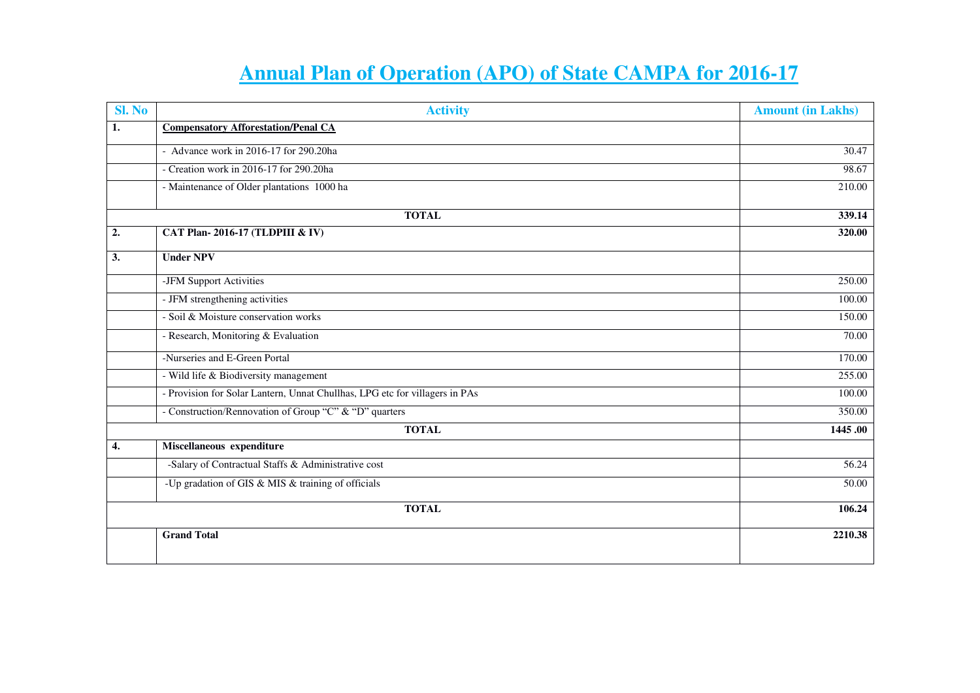## **Annual Plan of Operation (APO) of State CAMPA for 2016-17**

| Sl. No | <b>Activity</b>                                                             | <b>Amount (in Lakhs)</b> |
|--------|-----------------------------------------------------------------------------|--------------------------|
| 1.     | <b>Compensatory Afforestation/Penal CA</b>                                  |                          |
|        | - Advance work in 2016-17 for 290.20ha                                      | 30.47                    |
|        | - Creation work in 2016-17 for 290.20ha                                     | 98.67                    |
|        | - Maintenance of Older plantations 1000 ha                                  | 210.00                   |
|        | <b>TOTAL</b>                                                                | 339.14                   |
| 2.     | CAT Plan-2016-17 (TLDPIII & IV)                                             | 320.00                   |
| 3.     | <b>Under NPV</b>                                                            |                          |
|        | -JFM Support Activities                                                     | 250.00                   |
|        | - JFM strengthening activities                                              | 100.00                   |
|        | - Soil & Moisture conservation works                                        | 150.00                   |
|        | - Research, Monitoring & Evaluation                                         | 70.00                    |
|        | -Nurseries and E-Green Portal                                               | 170.00                   |
|        | - Wild life & Biodiversity management                                       | 255.00                   |
|        | - Provision for Solar Lantern, Unnat Chullhas, LPG etc for villagers in PAs | 100.00                   |
|        | - Construction/Rennovation of Group "C" & "D" quarters                      | 350.00                   |
|        | <b>TOTAL</b>                                                                | 1445.00                  |
| 4.     | Miscellaneous expenditure                                                   |                          |
|        | -Salary of Contractual Staffs & Administrative cost                         | 56.24                    |
|        | -Up gradation of GIS & MIS & training of officials                          | 50.00                    |
|        | <b>TOTAL</b>                                                                | 106.24                   |
|        | <b>Grand Total</b>                                                          | 2210.38                  |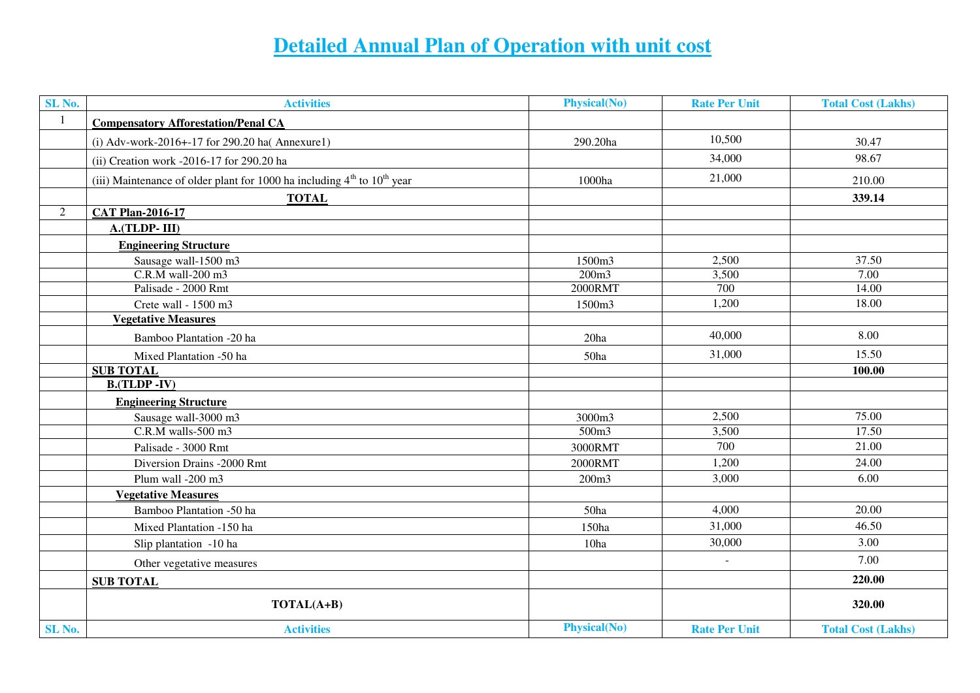## **Detailed Annual Plan of Operation with unit cost**

| SL No.         | <b>Activities</b>                                                           | <b>Physical(No)</b> | <b>Rate Per Unit</b>     | <b>Total Cost (Lakhs)</b> |
|----------------|-----------------------------------------------------------------------------|---------------------|--------------------------|---------------------------|
| $\mathbf{1}$   | <b>Compensatory Afforestation/Penal CA</b>                                  |                     |                          |                           |
|                | (i) Adv-work-2016+-17 for 290.20 ha( $\text{Annexure1}$ )                   | 290.20ha            | 10,500                   | 30.47                     |
|                | (ii) Creation work -2016-17 for 290.20 ha                                   |                     | 34,000                   | 98.67                     |
|                | (iii) Maintenance of older plant for 1000 ha including $4th$ to $10th$ year | 1000ha              | 21,000                   | 210.00                    |
|                | <b>TOTAL</b>                                                                |                     |                          | 339.14                    |
| $\overline{2}$ | <b>CAT Plan-2016-17</b>                                                     |                     |                          |                           |
|                | A.(TLDP-III)                                                                |                     |                          |                           |
|                | <b>Engineering Structure</b>                                                |                     |                          |                           |
|                | Sausage wall-1500 m3                                                        | 1500m3              | 2,500                    | 37.50                     |
|                | C.R.M wall-200 m3                                                           | 200m3               | 3,500                    | 7.00                      |
|                | Palisade - 2000 Rmt                                                         | 2000RMT             | 700                      | 14.00                     |
|                | Crete wall - 1500 m3                                                        | 1500m3              | 1,200                    | 18.00                     |
|                | <b>Vegetative Measures</b>                                                  |                     |                          |                           |
|                | Bamboo Plantation -20 ha                                                    | 20ha                | 40,000                   | 8.00                      |
|                | Mixed Plantation -50 ha                                                     | 50ha                | 31,000                   | 15.50                     |
|                | <b>SUB TOTAL</b>                                                            |                     |                          | 100.00                    |
|                | $B.(TLDP - IV)$                                                             |                     |                          |                           |
|                | <b>Engineering Structure</b>                                                |                     |                          |                           |
|                | Sausage wall-3000 m3                                                        | 3000m3              | 2,500                    | 75.00                     |
|                | C.R.M walls-500 m3                                                          | 500 <sub>m3</sub>   | 3,500                    | 17.50                     |
|                | Palisade - 3000 Rmt                                                         | 3000RMT             | 700                      | 21.00                     |
|                | Diversion Drains -2000 Rmt                                                  | 2000RMT             | 1,200                    | 24.00                     |
|                | Plum wall -200 m3                                                           | 200m3               | 3,000                    | 6.00                      |
|                | <b>Vegetative Measures</b>                                                  |                     |                          |                           |
|                | Bamboo Plantation -50 ha                                                    | 50ha                | 4,000                    | 20.00                     |
|                | Mixed Plantation -150 ha                                                    | 150ha               | 31,000                   | 46.50                     |
|                | Slip plantation -10 ha                                                      | 10ha                | 30,000                   | 3.00                      |
|                | Other vegetative measures                                                   |                     | $\overline{\phantom{a}}$ | 7.00                      |
|                | <b>SUB TOTAL</b>                                                            |                     |                          | 220.00                    |
|                | TOTAL(A+B)                                                                  |                     |                          | 320.00                    |
| SL No.         | <b>Activities</b>                                                           | <b>Physical(No)</b> | <b>Rate Per Unit</b>     | <b>Total Cost (Lakhs)</b> |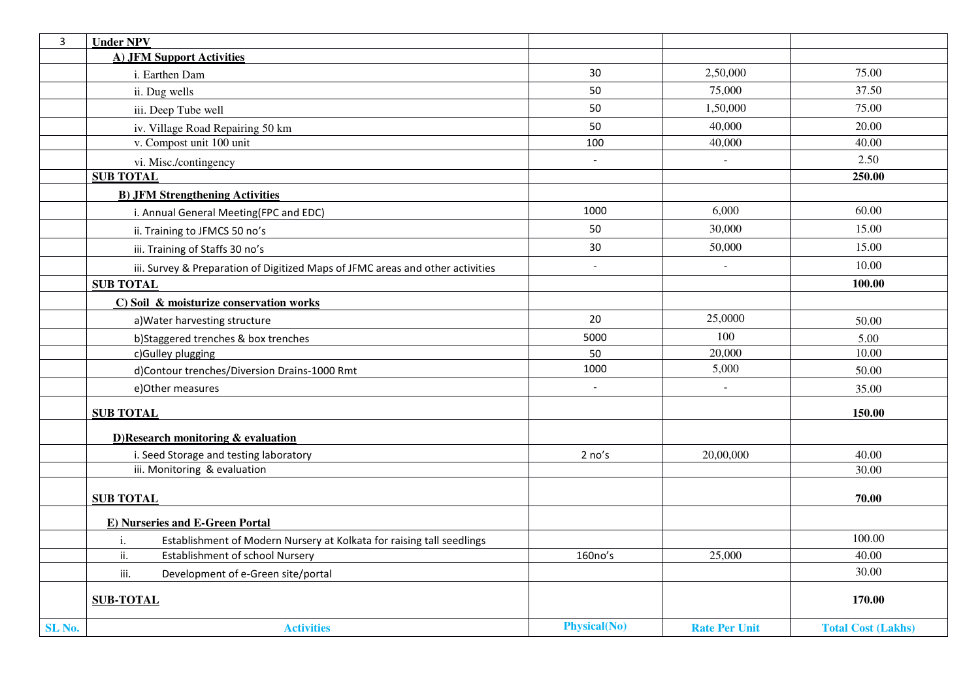| $\mathbf{3}$      | <b>Under NPV</b>                                                               |                     |                          |                           |
|-------------------|--------------------------------------------------------------------------------|---------------------|--------------------------|---------------------------|
|                   | <b>A) JFM Support Activities</b>                                               |                     |                          |                           |
|                   | i. Earthen Dam                                                                 | 30                  | 2,50,000                 | 75.00                     |
|                   | ii. Dug wells                                                                  | 50                  | 75,000                   | 37.50                     |
|                   | iii. Deep Tube well                                                            | 50                  | 1,50,000                 | 75.00                     |
|                   | iv. Village Road Repairing 50 km                                               | 50                  | 40,000                   | 20.00                     |
|                   | v. Compost unit 100 unit                                                       | 100                 | 40,000                   | 40.00                     |
|                   | vi. Misc./contingency                                                          | $\blacksquare$      | $\blacksquare$           | 2.50                      |
|                   | <b>SUB TOTAL</b>                                                               |                     |                          | 250.00                    |
|                   | <b>B) JFM Strengthening Activities</b>                                         |                     |                          |                           |
|                   | i. Annual General Meeting(FPC and EDC)                                         | 1000                | 6,000                    | 60.00                     |
|                   | ii. Training to JFMCS 50 no's                                                  | 50                  | 30,000                   | 15.00                     |
|                   | iii. Training of Staffs 30 no's                                                | 30                  | 50,000                   | 15.00                     |
|                   | iii. Survey & Preparation of Digitized Maps of JFMC areas and other activities | $\overline{a}$      | $\overline{a}$           | 10.00                     |
|                   | <b>SUB TOTAL</b>                                                               |                     |                          | 100.00                    |
|                   | C) Soil & moisturize conservation works                                        |                     |                          |                           |
|                   | a) Water harvesting structure                                                  | 20                  | 25,0000                  | 50.00                     |
|                   | b)Staggered trenches & box trenches                                            | 5000                | 100                      | 5.00                      |
|                   | c)Gulley plugging                                                              | 50                  | 20,000                   | 10.00                     |
|                   | d)Contour trenches/Diversion Drains-1000 Rmt                                   | 1000                | 5,000                    | 50.00                     |
|                   | e)Other measures                                                               | $\blacksquare$      | $\overline{\phantom{a}}$ | 35.00                     |
|                   | <b>SUB TOTAL</b>                                                               |                     |                          | 150.00                    |
|                   | $D)$ Research monitoring & evaluation                                          |                     |                          |                           |
|                   | i. Seed Storage and testing laboratory                                         | 2 no's              | 20,00,000                | 40.00                     |
|                   | iii. Monitoring & evaluation                                                   |                     |                          | 30.00                     |
|                   |                                                                                |                     |                          |                           |
|                   | <b>SUB TOTAL</b>                                                               |                     |                          | 70.00                     |
|                   | E) Nurseries and E-Green Portal                                                |                     |                          |                           |
|                   | Establishment of Modern Nursery at Kolkata for raising tall seedlings<br>i.    |                     |                          | 100.00                    |
|                   | ii.<br><b>Establishment of school Nursery</b>                                  | 160no's             | 25,000                   | 40.00                     |
|                   | Development of e-Green site/portal<br>iii.                                     |                     |                          | 30.00                     |
|                   | <b>SUB-TOTAL</b>                                                               |                     |                          | 170.00                    |
| SL <sub>No.</sub> | <b>Activities</b>                                                              | <b>Physical(No)</b> | <b>Rate Per Unit</b>     | <b>Total Cost (Lakhs)</b> |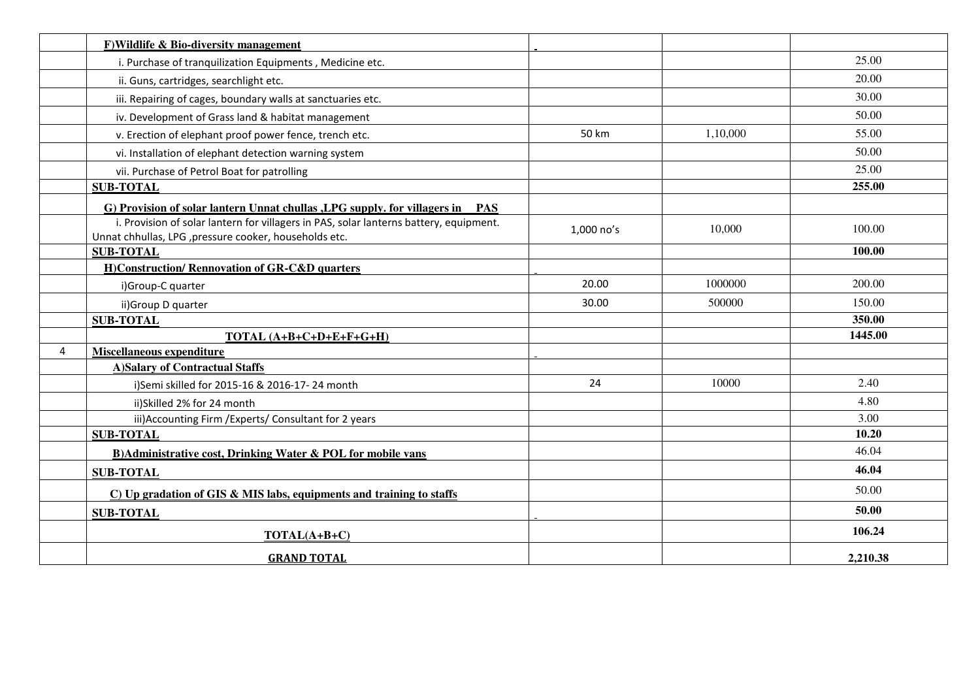|                | F) Wildlife & Bio-diversity management                                                                                                           |            |          |          |
|----------------|--------------------------------------------------------------------------------------------------------------------------------------------------|------------|----------|----------|
|                | i. Purchase of tranquilization Equipments, Medicine etc.                                                                                         |            |          | 25.00    |
|                | ii. Guns, cartridges, searchlight etc.                                                                                                           |            |          | 20.00    |
|                | iii. Repairing of cages, boundary walls at sanctuaries etc.                                                                                      |            |          | 30.00    |
|                | iv. Development of Grass land & habitat management                                                                                               |            |          | 50.00    |
|                | v. Erection of elephant proof power fence, trench etc.                                                                                           | 50 km      | 1,10,000 | 55.00    |
|                | vi. Installation of elephant detection warning system                                                                                            |            |          | 50.00    |
|                | vii. Purchase of Petrol Boat for patrolling                                                                                                      |            |          | 25.00    |
|                | <b>SUB-TOTAL</b>                                                                                                                                 |            |          | 255.00   |
|                | G) Provision of solar lantern Unnat chullas , LPG supply. for villagers in PAS                                                                   |            |          |          |
|                | i. Provision of solar lantern for villagers in PAS, solar lanterns battery, equipment.<br>Unnat chhullas, LPG , pressure cooker, households etc. | 1,000 no's | 10,000   | 100.00   |
|                | <b>SUB-TOTAL</b>                                                                                                                                 |            |          | 100.00   |
|                | <b>H)Construction/ Rennovation of GR-C&amp;D quarters</b>                                                                                        |            |          |          |
|                | i)Group-C quarter                                                                                                                                | 20.00      | 1000000  | 200.00   |
|                | ii) Group D quarter                                                                                                                              | 30.00      | 500000   | 150.00   |
|                | <b>SUB-TOTAL</b>                                                                                                                                 |            |          | 350.00   |
|                | TOTAL (A+B+C+D+E+F+G+H)                                                                                                                          |            |          | 1445.00  |
| $\overline{4}$ | Miscellaneous expenditure                                                                                                                        |            |          |          |
|                | <b>A)Salary of Contractual Staffs</b>                                                                                                            |            |          |          |
|                | i)Semi skilled for 2015-16 & 2016-17-24 month                                                                                                    | 24         | 10000    | 2.40     |
|                | ii)Skilled 2% for 24 month                                                                                                                       |            |          | 4.80     |
|                | iii) Accounting Firm / Experts/ Consultant for 2 years                                                                                           |            |          | 3.00     |
|                | <b>SUB-TOTAL</b>                                                                                                                                 |            |          | 10.20    |
|                | <b>B)Administrative cost, Drinking Water &amp; POL for mobile vans</b>                                                                           |            |          | 46.04    |
|                | <b>SUB-TOTAL</b>                                                                                                                                 |            |          | 46.04    |
|                | $C$ ) Up gradation of GIS & MIS labs, equipments and training to staffs                                                                          |            |          | 50.00    |
|                | <b>SUB-TOTAL</b>                                                                                                                                 |            |          | 50.00    |
|                | TOTAL(A+B+C)                                                                                                                                     |            |          | 106.24   |
|                | <b>GRAND TOTAL</b>                                                                                                                               |            |          | 2,210.38 |